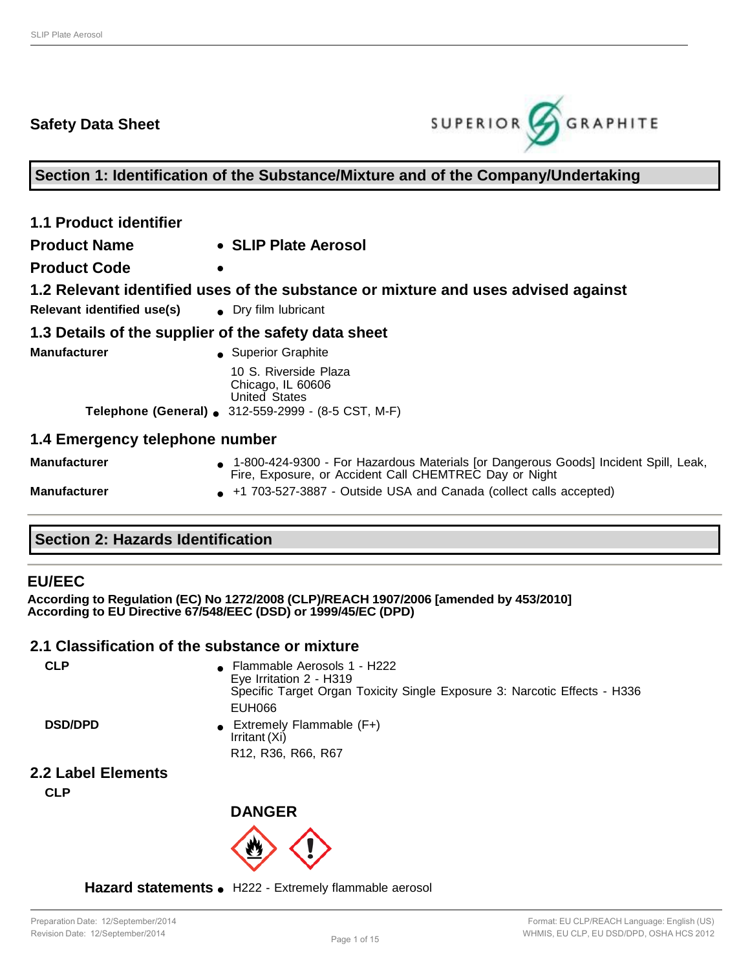# **Safety Data Sheet**



**Section 1: Identification of the Substance/Mixture and of the Company/Undertaking**

| <b>1.1 Product identifier</b>  |                                                                                                                                                 |
|--------------------------------|-------------------------------------------------------------------------------------------------------------------------------------------------|
| <b>Product Name</b>            | • SLIP Plate Aerosol                                                                                                                            |
| <b>Product Code</b>            | $\bullet$                                                                                                                                       |
|                                | 1.2 Relevant identified uses of the substance or mixture and uses advised against                                                               |
| Relevant identified use(s)     | • Dry film lubricant                                                                                                                            |
|                                | 1.3 Details of the supplier of the safety data sheet                                                                                            |
| <b>Manufacturer</b>            | • Superior Graphite                                                                                                                             |
|                                | 10 S. Riverside Plaza<br>Chicago, IL 60606<br><b>United States</b>                                                                              |
|                                | Telephone (General) ● 312-559-2999 - (8-5 CST, M-F)                                                                                             |
| 1.4 Emergency telephone number |                                                                                                                                                 |
| <b>Manufacturer</b>            | • 1-800-424-9300 - For Hazardous Materials [or Dangerous Goods] Incident Spill, Leak,<br>Fire, Exposure, or Accident Call CHEMTREC Day or Night |
| <b>Manufacturer</b>            | +1 703-527-3887 - Outside USA and Canada (collect calls accepted)<br>$\bullet$                                                                  |

### **Section 2: Hazards Identification**

### **EU/EEC**

**According to Regulation (EC) No 1272/2008 (CLP)/REACH 1907/2006 [amended by 453/2010] According to EU Directive 67/548/EEC (DSD) or 1999/45/EC (DPD)**

### **2.1 Classification of the substance or mixture**

| <b>CLP</b>         | • Flammable Aerosols 1 - H222<br>Eye Irritation 2 - H319<br>Specific Target Organ Toxicity Single Exposure 3: Narcotic Effects - H336<br>EUH066 |
|--------------------|-------------------------------------------------------------------------------------------------------------------------------------------------|
| <b>DSD/DPD</b>     | Extremely Flammable (F+)<br>Irritant (Xi)                                                                                                       |
|                    | R <sub>12</sub> , R <sub>36</sub> , R <sub>66</sub> , R <sub>67</sub>                                                                           |
| 2.2 Label Elements |                                                                                                                                                 |

**CLP**



Hazard statements . H222 - Extremely flammable aerosol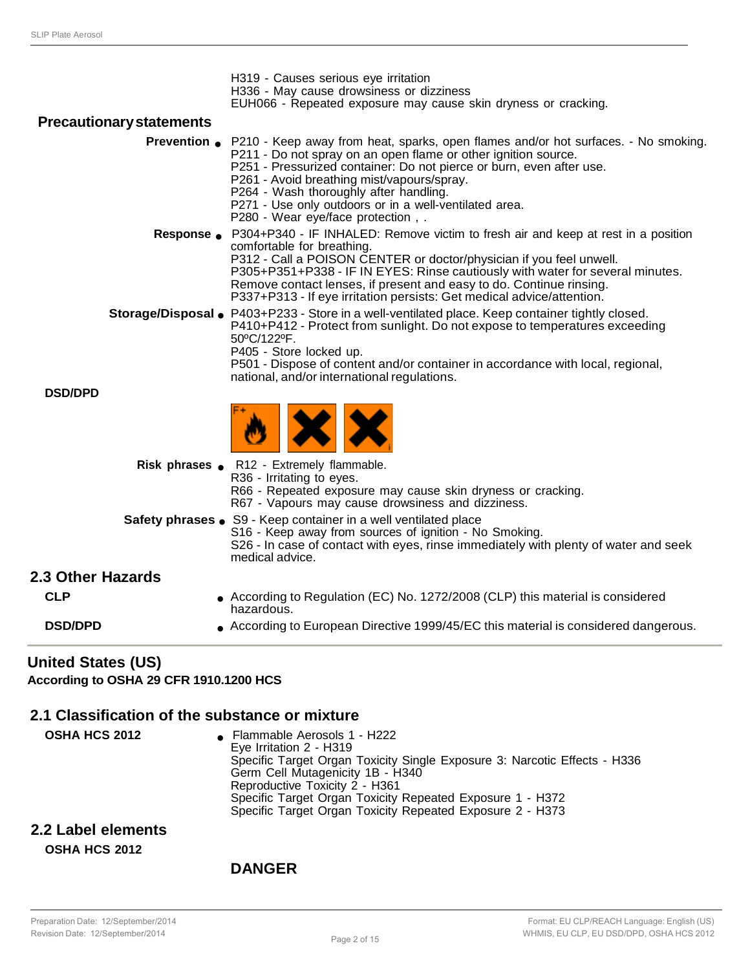| <b>United States (US)</b>                 |                                                                                                                                                                                                                                                                                                                                                                                                                                                                                                          |
|-------------------------------------------|----------------------------------------------------------------------------------------------------------------------------------------------------------------------------------------------------------------------------------------------------------------------------------------------------------------------------------------------------------------------------------------------------------------------------------------------------------------------------------------------------------|
| <b>DSD/DPD</b>                            | ● According to European Directive 1999/45/EC this material is considered dangerous.                                                                                                                                                                                                                                                                                                                                                                                                                      |
| 2.3 Other Hazards<br><b>CLP</b>           | According to Regulation (EC) No. 1272/2008 (CLP) this material is considered<br>hazardous.                                                                                                                                                                                                                                                                                                                                                                                                               |
|                                           | S16 - Keep away from sources of ignition - No Smoking.<br>S26 - In case of contact with eyes, rinse immediately with plenty of water and seek<br>medical advice.                                                                                                                                                                                                                                                                                                                                         |
|                                           | R36 - Irritating to eyes.<br>R66 - Repeated exposure may cause skin dryness or cracking.<br>R67 - Vapours may cause drowsiness and dizziness.<br>Safety phrases . S9 - Keep container in a well ventilated place                                                                                                                                                                                                                                                                                         |
|                                           | Risk phrases . R12 - Extremely flammable.                                                                                                                                                                                                                                                                                                                                                                                                                                                                |
| <b>DSD/DPD</b>                            |                                                                                                                                                                                                                                                                                                                                                                                                                                                                                                          |
|                                           | P410+P412 - Protect from sunlight. Do not expose to temperatures exceeding<br>50°C/122°F.<br>P405 - Store locked up.<br>P501 - Dispose of content and/or container in accordance with local, regional,<br>national, and/or international regulations.                                                                                                                                                                                                                                                    |
|                                           | comfortable for breathing.<br>P312 - Call a POISON CENTER or doctor/physician if you feel unwell.<br>P305+P351+P338 - IF IN EYES: Rinse cautiously with water for several minutes.<br>Remove contact lenses, if present and easy to do. Continue rinsing.<br>P337+P313 - If eye irritation persists: Get medical advice/attention.<br>Storage/Disposal • P403+P233 - Store in a well-ventilated place. Keep container tightly closed.                                                                    |
| <b>Prevention</b> $\bullet$<br>Response • | P210 - Keep away from heat, sparks, open flames and/or hot surfaces. - No smoking.<br>P211 - Do not spray on an open flame or other ignition source.<br>P251 - Pressurized container: Do not pierce or burn, even after use.<br>P261 - Avoid breathing mist/vapours/spray.<br>P264 - Wash thoroughly after handling.<br>P271 - Use only outdoors or in a well-ventilated area.<br>P280 - Wear eye/face protection,.<br>P304+P340 - IF INHALED: Remove victim to fresh air and keep at rest in a position |
| <b>Precautionary statements</b>           |                                                                                                                                                                                                                                                                                                                                                                                                                                                                                                          |
|                                           | H319 - Causes serious eye irritation<br>H336 - May cause drowsiness or dizziness<br>EUH066 - Repeated exposure may cause skin dryness or cracking.                                                                                                                                                                                                                                                                                                                                                       |

**According to OSHA 29 CFR 1910.1200 HCS**

### **2.1 Classification of the substance or mixture**

**OSHA HCS 2012** ● Flammable Aerosols 1 - H222 Eye Irritation 2 - H319 Specific Target Organ Toxicity Single Exposure 3: Narcotic Effects - H336 Germ Cell Mutagenicity 1B - H340 Reproductive Toxicity 2 - H361 Specific Target Organ Toxicity Repeated Exposure 1 - H372 Specific Target Organ Toxicity Repeated Exposure 2 - H373

### **2.2 Label elements OSHA HCS 2012**

### **DANGER**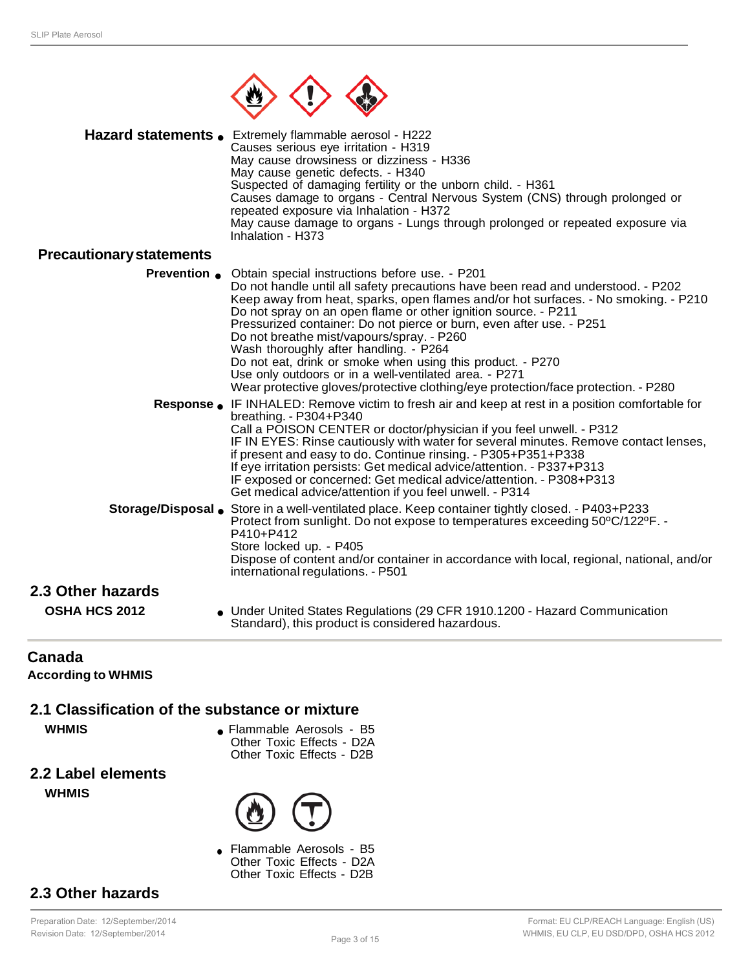

|                                 | Hazard statements . Extremely flammable aerosol - H222<br>Causes serious eye irritation - H319<br>May cause drowsiness or dizziness - H336<br>May cause genetic defects. - H340<br>Suspected of damaging fertility or the unborn child. - H361<br>Causes damage to organs - Central Nervous System (CNS) through prolonged or<br>repeated exposure via Inhalation - H372<br>May cause damage to organs - Lungs through prolonged or repeated exposure via<br>Inhalation - H373                                                                                                                                                                                         |
|---------------------------------|------------------------------------------------------------------------------------------------------------------------------------------------------------------------------------------------------------------------------------------------------------------------------------------------------------------------------------------------------------------------------------------------------------------------------------------------------------------------------------------------------------------------------------------------------------------------------------------------------------------------------------------------------------------------|
| <b>Precautionary statements</b> |                                                                                                                                                                                                                                                                                                                                                                                                                                                                                                                                                                                                                                                                        |
| <b>Prevention</b> •             | Obtain special instructions before use. - P201<br>Do not handle until all safety precautions have been read and understood. - P202<br>Keep away from heat, sparks, open flames and/or hot surfaces. - No smoking. - P210<br>Do not spray on an open flame or other ignition source. - P211<br>Pressurized container: Do not pierce or burn, even after use. - P251<br>Do not breathe mist/vapours/spray. - P260<br>Wash thoroughly after handling. - P264<br>Do not eat, drink or smoke when using this product. - P270<br>Use only outdoors or in a well-ventilated area. - P271<br>Wear protective gloves/protective clothing/eye protection/face protection. - P280 |
|                                 | <b>Response ●</b> IF INHALED: Remove victim to fresh air and keep at rest in a position comfortable for<br>breathing. - P304+P340<br>Call a POISON CENTER or doctor/physician if you feel unwell. - P312<br>IF IN EYES: Rinse cautiously with water for several minutes. Remove contact lenses,<br>if present and easy to do. Continue rinsing. - P305+P351+P338<br>If eye irritation persists: Get medical advice/attention. - P337+P313<br>IF exposed or concerned: Get medical advice/attention. - P308+P313<br>Get medical advice/attention if you feel unwell. - P314                                                                                             |
|                                 | Storage/Disposal Store in a well-ventilated place. Keep container tightly closed. - P403+P233<br>Protect from sunlight. Do not expose to temperatures exceeding 50°C/122°F. -<br>P410+P412<br>Store locked up. - P405<br>Dispose of content and/or container in accordance with local, regional, national, and/or<br>international regulations. - P501                                                                                                                                                                                                                                                                                                                 |
| 2.3 Other hazards               |                                                                                                                                                                                                                                                                                                                                                                                                                                                                                                                                                                                                                                                                        |
| <b>OSHA HCS 2012</b>            | • Under United States Regulations (29 CFR 1910.1200 - Hazard Communication<br>Standard), this product is considered hazardous.                                                                                                                                                                                                                                                                                                                                                                                                                                                                                                                                         |

### **Canada**

**According to WHMIS**

### **2.1 Classification of the substance or mixture**

- **WHMIS •** Flammable Aerosols B5 Other Toxic Effects - D2A Other Toxic Effects - D2B
- **2.2 Label elements WHMIS**



● Flammable Aerosols - B5 Other Toxic Effects - D2A Other Toxic Effects - D2B

# **2.3 Other hazards**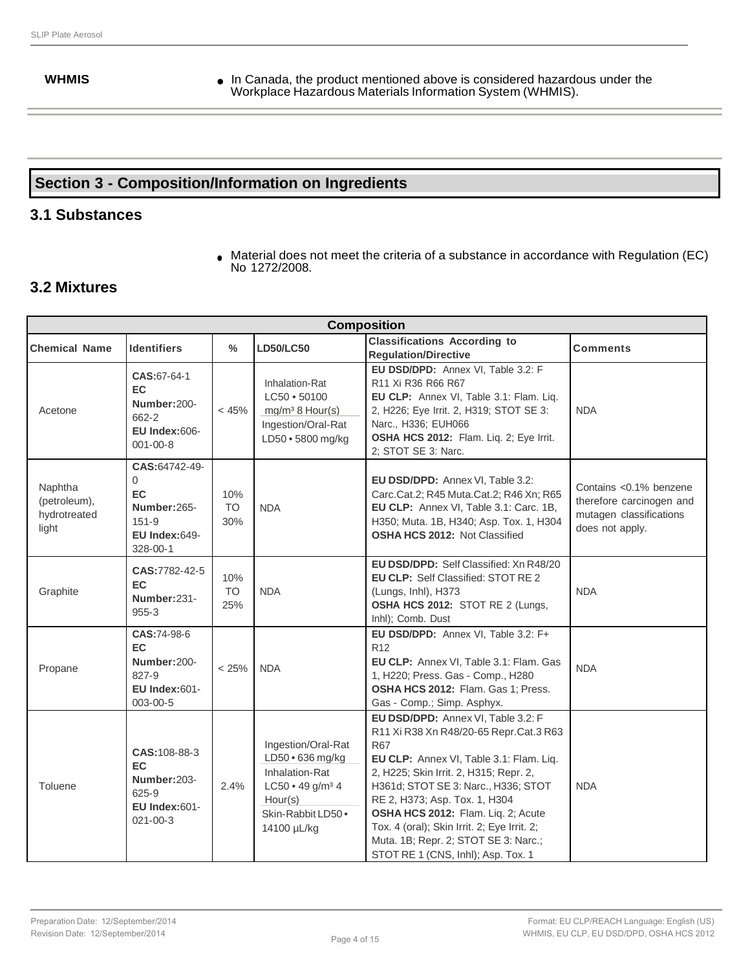**WHMIS •** In Canada, the product mentioned above is considered hazardous under the Workplace Hazardous Materials Information System (WHMIS).

# **Section 3 - Composition/Information on Ingredients**

### **3.1 Substances**

● Material does not meet the criteria of a substance in accordance with Regulation (EC) No 1272/2008.

### **3.2 Mixtures**

| <b>Composition</b>                               |                                                                                                        |                         |                                                                                                                                          |                                                                                                                                                                                                                                                                                                                                                                                                                            |                 |
|--------------------------------------------------|--------------------------------------------------------------------------------------------------------|-------------------------|------------------------------------------------------------------------------------------------------------------------------------------|----------------------------------------------------------------------------------------------------------------------------------------------------------------------------------------------------------------------------------------------------------------------------------------------------------------------------------------------------------------------------------------------------------------------------|-----------------|
| <b>Chemical Name</b>                             | <b>Identifiers</b>                                                                                     | %                       | <b>LD50/LC50</b>                                                                                                                         | <b>Classifications According to</b><br><b>Regulation/Directive</b>                                                                                                                                                                                                                                                                                                                                                         | <b>Comments</b> |
| Acetone                                          | CAS:67-64-1<br>EC.<br>Number:200-<br>662-2<br><b>EU Index:606-</b><br>$001 - 00 - 8$                   | < 45%                   | Inhalation-Rat<br>LC50 • 50100<br>mg/m <sup>3</sup> 8 Hour(s)<br>Ingestion/Oral-Rat<br>LD50 · 5800 mg/kg                                 | EU DSD/DPD: Annex VI, Table 3.2: F<br>R <sub>11</sub> Xi R <sub>36</sub> R <sub>66</sub> R <sub>67</sub><br>EU CLP: Annex VI, Table 3.1: Flam. Liq.<br>2, H226; Eye Irrit. 2, H319; STOT SE 3:<br><b>NDA</b><br>Narc., H336; EUH066<br>OSHA HCS 2012: Flam. Liq. 2; Eye Irrit.<br>2; STOT SE 3: Narc.                                                                                                                      |                 |
| Naphtha<br>(petroleum),<br>hydrotreated<br>light | CAS:64742-49-<br>$\Omega$<br><b>EC</b><br>Number:265-<br>$151 - 9$<br><b>EU Index:649-</b><br>328-00-1 | 10%<br><b>TO</b><br>30% | <b>NDA</b>                                                                                                                               | EU DSD/DPD: Annex VI, Table 3.2:<br>Contains < 0.1% benzene<br>Carc.Cat.2; R45 Muta.Cat.2; R46 Xn; R65<br>therefore carcinogen and<br>EU CLP: Annex VI, Table 3.1: Carc. 1B,<br>mutagen classifications<br>H350; Muta. 1B, H340; Asp. Tox. 1, H304<br>does not apply.<br><b>OSHA HCS 2012: Not Classified</b>                                                                                                              |                 |
| Graphite                                         | CAS:7782-42-5<br>EC<br>Number:231-<br>$955 - 3$                                                        | 10%<br><b>TO</b><br>25% | <b>NDA</b>                                                                                                                               | EU DSD/DPD: Self Classified: Xn R48/20<br><b>EU CLP: Self Classified: STOT RE 2</b><br>(Lungs, Inhl), H373<br>OSHA HCS 2012: STOT RE 2 (Lungs,<br>Inhl); Comb. Dust                                                                                                                                                                                                                                                        | <b>NDA</b>      |
| Propane                                          | CAS:74-98-6<br>EC<br>Number:200-<br>827-9<br><b>EU Index:601-</b><br>003-00-5                          | < 25%                   | <b>NDA</b>                                                                                                                               | EU DSD/DPD: Annex VI, Table 3.2: F+<br>R <sub>12</sub><br>EU CLP: Annex VI, Table 3.1: Flam. Gas<br><b>NDA</b><br>1, H220; Press. Gas - Comp., H280<br>OSHA HCS 2012: Flam. Gas 1; Press.<br>Gas - Comp.; Simp. Asphyx.                                                                                                                                                                                                    |                 |
| Toluene                                          | CAS: 108-88-3<br>EC<br>Number: 203-<br>$625 - 9$<br>EU Index:601-<br>$021 - 00 - 3$                    | 2.4%                    | Ingestion/Oral-Rat<br>LD50 · 636 mg/kg<br>Inhalation-Rat<br>LC50 • 49 g/m <sup>3</sup> 4<br>Hour(s)<br>Skin-Rabbit LD50 ·<br>14100 µL/kg | EU DSD/DPD: Annex VI, Table 3.2: F<br>R11 Xi R38 Xn R48/20-65 Repr.Cat.3 R63<br><b>R67</b><br>EU CLP: Annex VI, Table 3.1: Flam. Liq.<br>2, H225; Skin Irrit. 2, H315; Repr. 2,<br>H361d; STOT SE 3: Narc., H336; STOT<br>RE 2, H373; Asp. Tox. 1, H304<br>OSHA HCS 2012: Flam. Liq. 2; Acute<br>Tox. 4 (oral); Skin Irrit. 2; Eye Irrit. 2;<br>Muta. 1B; Repr. 2; STOT SE 3: Narc.;<br>STOT RE 1 (CNS, Inhl); Asp. Tox. 1 | <b>NDA</b>      |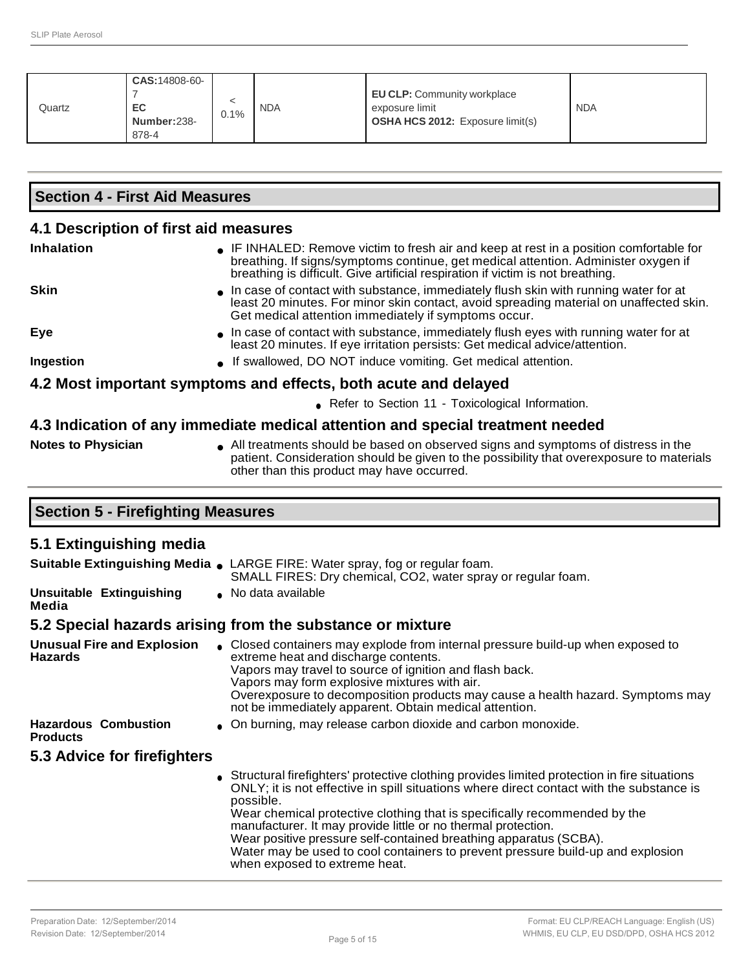| Quartz | <b>CAS: 14808-60-</b><br>EC<br>Number:238-<br>878-4 | 0.1% | <b>NDA</b> | <b>EU CLP:</b> Community workplace<br>exposure limit<br><b>OSHA HCS 2012:</b> Exposure limit(s) | <b>NDA</b> |
|--------|-----------------------------------------------------|------|------------|-------------------------------------------------------------------------------------------------|------------|
|--------|-----------------------------------------------------|------|------------|-------------------------------------------------------------------------------------------------|------------|

| <b>Section 4 - First Aid Measures</b>                                          |                                                                                                                                                                                                                                                                  |  |  |  |  |
|--------------------------------------------------------------------------------|------------------------------------------------------------------------------------------------------------------------------------------------------------------------------------------------------------------------------------------------------------------|--|--|--|--|
| 4.1 Description of first aid measures                                          |                                                                                                                                                                                                                                                                  |  |  |  |  |
| <b>Inhalation</b>                                                              | • IF INHALED: Remove victim to fresh air and keep at rest in a position comfortable for<br>breathing. If signs/symptoms continue, get medical attention. Administer oxygen if<br>breathing is difficult. Give artificial respiration if victim is not breathing. |  |  |  |  |
| <b>Skin</b>                                                                    | In case of contact with substance, immediately flush skin with running water for at<br>least 20 minutes. For minor skin contact, avoid spreading material on unaffected skin.<br>Get medical attention immediately if symptoms occur.                            |  |  |  |  |
| Eye                                                                            | In case of contact with substance, immediately flush eyes with running water for at<br>least 20 minutes. If eye irritation persists: Get medical advice/attention.                                                                                               |  |  |  |  |
| Ingestion                                                                      | • If swallowed, DO NOT induce vomiting. Get medical attention.                                                                                                                                                                                                   |  |  |  |  |
| 4.2 Most important symptoms and effects, both acute and delayed                |                                                                                                                                                                                                                                                                  |  |  |  |  |
| • Refer to Section 11 - Toxicological Information.                             |                                                                                                                                                                                                                                                                  |  |  |  |  |
| 4.3 Indication of any immediate medical attention and special treatment needed |                                                                                                                                                                                                                                                                  |  |  |  |  |
| Notos to Dhysician                                                             | All tractments should be based on ebserved signs and symptoms of distress in the                                                                                                                                                                                 |  |  |  |  |

### **Notes to Physician** ● All treatments should be based on observed signs and symptoms of distress in the patient. Consideration should be given to the possibility that overexposure to materials

|  | pationt. Concidentation chodia bo given to the |
|--|------------------------------------------------|
|  | other than this product may have occurred.     |

|  | <b>Section 5 - Firefighting Measures</b> |  |
|--|------------------------------------------|--|
|--|------------------------------------------|--|

# **5.1 Extinguishing media**

|                                                     | <b>Suitable Extinguishing Media .</b> LARGE FIRE: Water spray, fog or regular foam.<br>SMALL FIRES: Dry chemical, CO2, water spray or regular foam.                                                                                                                                                                                                                                                                                                                                                                                         |
|-----------------------------------------------------|---------------------------------------------------------------------------------------------------------------------------------------------------------------------------------------------------------------------------------------------------------------------------------------------------------------------------------------------------------------------------------------------------------------------------------------------------------------------------------------------------------------------------------------------|
| <b>Unsuitable Extinguishing</b><br>Media            | • No data available                                                                                                                                                                                                                                                                                                                                                                                                                                                                                                                         |
|                                                     | 5.2 Special hazards arising from the substance or mixture                                                                                                                                                                                                                                                                                                                                                                                                                                                                                   |
| <b>Unusual Fire and Explosion</b><br><b>Hazards</b> | • Closed containers may explode from internal pressure build-up when exposed to<br>extreme heat and discharge contents.<br>Vapors may travel to source of ignition and flash back.<br>Vapors may form explosive mixtures with air.<br>Overexposure to decomposition products may cause a health hazard. Symptoms may<br>not be immediately apparent. Obtain medical attention.                                                                                                                                                              |
| <b>Hazardous Combustion</b><br><b>Products</b>      | • On burning, may release carbon dioxide and carbon monoxide.                                                                                                                                                                                                                                                                                                                                                                                                                                                                               |
| 5.3 Advice for firefighters                         |                                                                                                                                                                                                                                                                                                                                                                                                                                                                                                                                             |
|                                                     | Structural firefighters' protective clothing provides limited protection in fire situations<br>ONLY; it is not effective in spill situations where direct contact with the substance is<br>possible.<br>Wear chemical protective clothing that is specifically recommended by the<br>manufacturer. It may provide little or no thermal protection.<br>Wear positive pressure self-contained breathing apparatus (SCBA).<br>Water may be used to cool containers to prevent pressure build-up and explosion<br>when exposed to extreme heat. |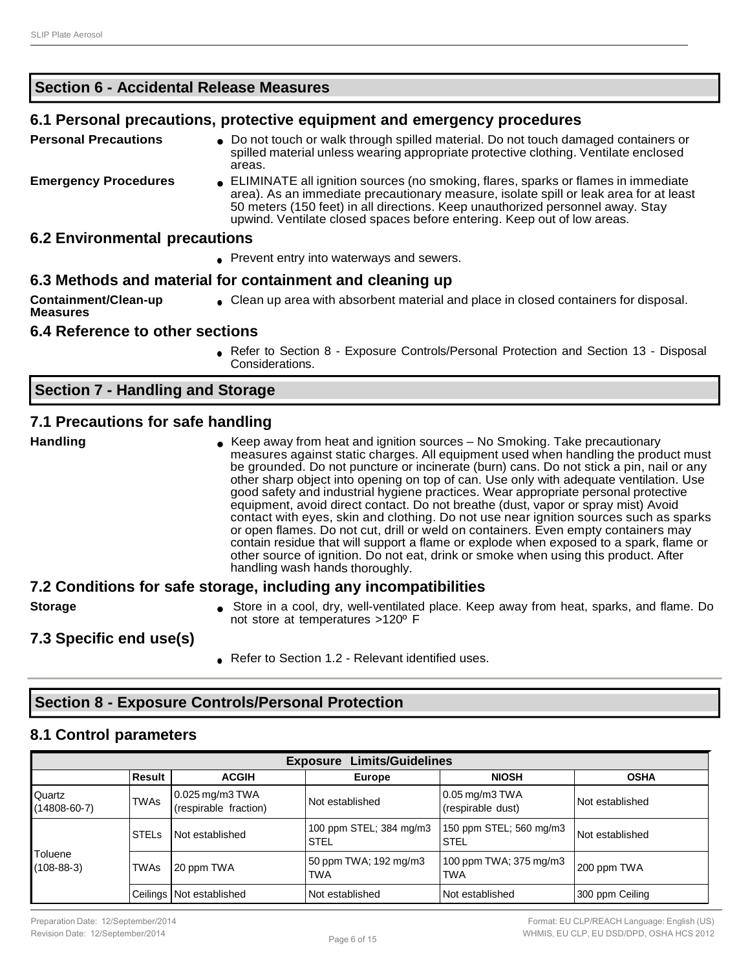### **Section 6 - Accidental Release Measures**

### **6.1 Personal precautions, protective equipment and emergency procedures**

- **Personal Precautions** Do not touch or walk through spilled material. Do not touch damaged containers or spilled material unless wearing appropriate protective clothing. Ventilate enclosed areas.
- **Emergency Procedures** ELIMINATE all ignition sources (no smoking, flares, sparks or flames in immediate area). As an immediate precautionary measure, isolate spill or leak area for at least 50 meters (150 feet) in all directions. Keep unauthorized personnel away. Stay upwind. Ventilate closed spaces before entering. Keep out of low areas.

### **6.2 Environmental precautions**

• Prevent entry into waterways and sewers.

### **6.3 Methods and material for containment and cleaning up**

**Containment/Clean-up Measures** ● Clean up area with absorbent material and place in closed containers for disposal.

### **6.4 Reference to other sections**

Refer to Section 8 - Exposure Controls/Personal Protection and Section 13 - Disposal Considerations.

### **Section 7 - Handling and Storage**

### **7.1 Precautions for safe handling**

**Handling Example 20 Table 6 Keep away from heat and ignition sources – No Smoking. Take precautionary** measures against static charges. All equipment used when handling the product must be grounded. Do not puncture or incinerate (burn) cans. Do not stick a pin, nail or any other sharp object into opening on top of can. Use only with adequate ventilation. Use good safety and industrial hygiene practices. Wear appropriate personal protective equipment, avoid direct contact. Do not breathe (dust, vapor or spray mist) Avoid contact with eyes, skin and clothing. Do not use near ignition sources such as sparks or open flames. Do not cut, drill or weld on containers. Even empty containers may contain residue that will support a flame or explode when exposed to a spark, flame or other source of ignition. Do not eat, drink or smoke when using this product. After handling wash hands thoroughly.

### **7.2 Conditions for safe storage, including any incompatibilities**

**Storage e** Store in a cool, dry, well-ventilated place. Keep away from heat, sparks, and flame. Do not store at temperatures >120º F

### **7.3 Specific end use(s)**

Refer to Section 1.2 - Relevant identified uses.

# **Section 8 - Exposure Controls/Personal Protection**

### **8.1 Control parameters**

| <b>Limits/Guidelines</b><br><b>Exposure</b> |                                                                        |                                            |                                        |                                        |                 |  |
|---------------------------------------------|------------------------------------------------------------------------|--------------------------------------------|----------------------------------------|----------------------------------------|-----------------|--|
|                                             | <b>OSHA</b><br>Result<br><b>ACGIH</b><br><b>NIOSH</b><br><b>Europe</b> |                                            |                                        |                                        |                 |  |
| Quartz<br>$(14808 - 60 - 7)$                | <b>TWAs</b>                                                            | $0.025$ mg/m3 TWA<br>(respirable fraction) | Not established                        | $0.05$ mg/m3 TWA<br>(respirable dust)  | Not established |  |
| Toluene<br>$(108-88-3)$                     | <b>STELS</b>                                                           | Not established                            | 100 ppm STEL; 384 mg/m3<br><b>STEL</b> | 150 ppm STEL; 560 mg/m3<br><b>STEL</b> | Not established |  |
|                                             | <b>TWAs</b>                                                            | 20 ppm TWA                                 | 50 ppm TWA; 192 mg/m3<br>TWA           | 100 ppm TWA; 375 mg/m3<br><b>TWA</b>   | 200 ppm TWA     |  |
|                                             |                                                                        | Ceilings   Not established                 | Not established                        | Not established                        | 300 ppm Ceiling |  |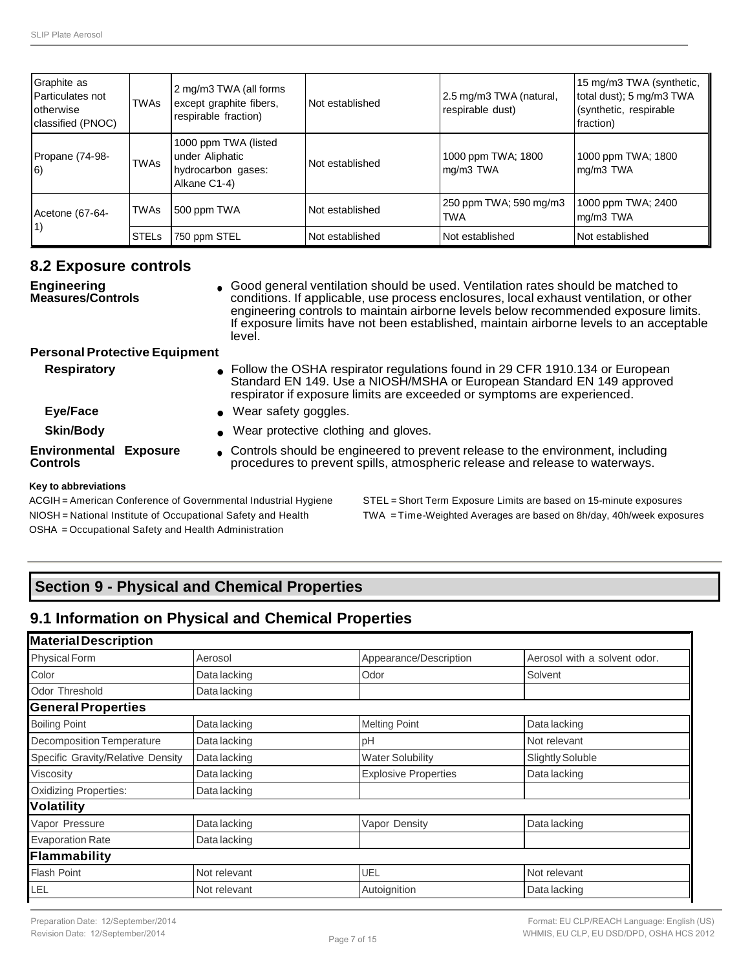| Graphite as<br>Particulates not<br>otherwise<br>classified (PNOC) | TWAs         | 2 mg/m3 TWA (all forms<br>except graphite fibers,<br>respirable fraction)     | Not established | 2.5 mg/m3 TWA (natural,<br>respirable dust) | 15 mg/m3 TWA (synthetic,<br>total dust); 5 mg/m3 TWA<br>(synthetic, respirable<br>fraction) |
|-------------------------------------------------------------------|--------------|-------------------------------------------------------------------------------|-----------------|---------------------------------------------|---------------------------------------------------------------------------------------------|
| Propane (74-98-<br>$ 6\rangle$                                    | <b>TWAs</b>  | 1000 ppm TWA (listed<br>under Aliphatic<br>hydrocarbon gases:<br>Alkane C1-4) | Not established | 1000 ppm TWA; 1800<br>mg/m3 TWA             | 1000 ppm TWA; 1800<br>mg/m3 TWA                                                             |
| Acetone (67-64-                                                   | <b>TWAs</b>  | 500 ppm TWA                                                                   | Not established | 250 ppm TWA; 590 mg/m3<br><b>TWA</b>        | 1000 ppm TWA; 2400<br>mg/m3 TWA                                                             |
| 1)                                                                | <b>STELs</b> | 750 ppm STEL                                                                  | Not established | Not established                             | Not established                                                                             |

### **8.2 Exposure controls**

**Engineering Measures/Controls** ● Good general ventilation should be used. Ventilation rates should be matched to conditions. If applicable, use process enclosures, local exhaust ventilation, or other engineering controls to maintain airborne levels below recommended exposure limits. If exposure limits have not been established, maintain airborne levels to an acceptable level.

### **Personal Protective Equipment**

| <b>Respiratory</b>                        | • Follow the OSHA respirator regulations found in 29 CFR 1910.134 or European<br>Standard EN 149. Use a NIOSH/MSHA or European Standard EN 149 approved<br>respirator if exposure limits are exceeded or symptoms are experienced. |
|-------------------------------------------|------------------------------------------------------------------------------------------------------------------------------------------------------------------------------------------------------------------------------------|
| Eye/Face                                  | • Wear safety goggles.                                                                                                                                                                                                             |
| <b>Skin/Body</b>                          | • Wear protective clothing and gloves.                                                                                                                                                                                             |
| <b>Environmental Exposure</b><br>Controls | Controls should be engineered to prevent release to the environment, including<br>procedures to prevent spills, atmospheric release and release to waterways.                                                                      |
| Key to abbreviations                      |                                                                                                                                                                                                                                    |

#### **Key to abbreviations**

OSHA = Occupational Safety and Health Administration

ACGIH = American Conference of Governmental Industrial Hygiene STEL = Short Term Exposure Limits are based on 15-minute exposures NIOSH = National Institute of Occupational Safety and Health TWA = Time-Weighted Averages are based on 8h/day, 40h/week exposures

# **Section 9 - Physical and Chemical Properties**

# **9.1 Information on Physical and Chemical Properties**

| <b>Material Description</b>       |              |                             |                              |
|-----------------------------------|--------------|-----------------------------|------------------------------|
| <b>Physical Form</b>              | Aerosol      | Appearance/Description      | Aerosol with a solvent odor. |
| Color                             | Data lacking | Odor                        | Solvent                      |
| Odor Threshold                    | Data lacking |                             |                              |
| <b>General Properties</b>         |              |                             |                              |
| <b>Boiling Point</b>              | Data lacking | <b>Melting Point</b>        | Data lacking                 |
| Decomposition Temperature         | Data lacking | pH                          | Not relevant                 |
| Specific Gravity/Relative Density | Data lacking | <b>Water Solubility</b>     | <b>Slightly Soluble</b>      |
| Viscosity                         | Data lacking | <b>Explosive Properties</b> | Data lacking                 |
| <b>Oxidizing Properties:</b>      | Data lacking |                             |                              |
| <b>Volatility</b>                 |              |                             |                              |
| Vapor Pressure                    | Data lacking | Vapor Density               | Data lacking                 |
| <b>Evaporation Rate</b>           | Data lacking |                             |                              |
| Flammability                      |              |                             |                              |
| <b>Flash Point</b>                | Not relevant | UEL                         | Not relevant                 |
| LEL                               | Not relevant | Autoignition                | Data lacking                 |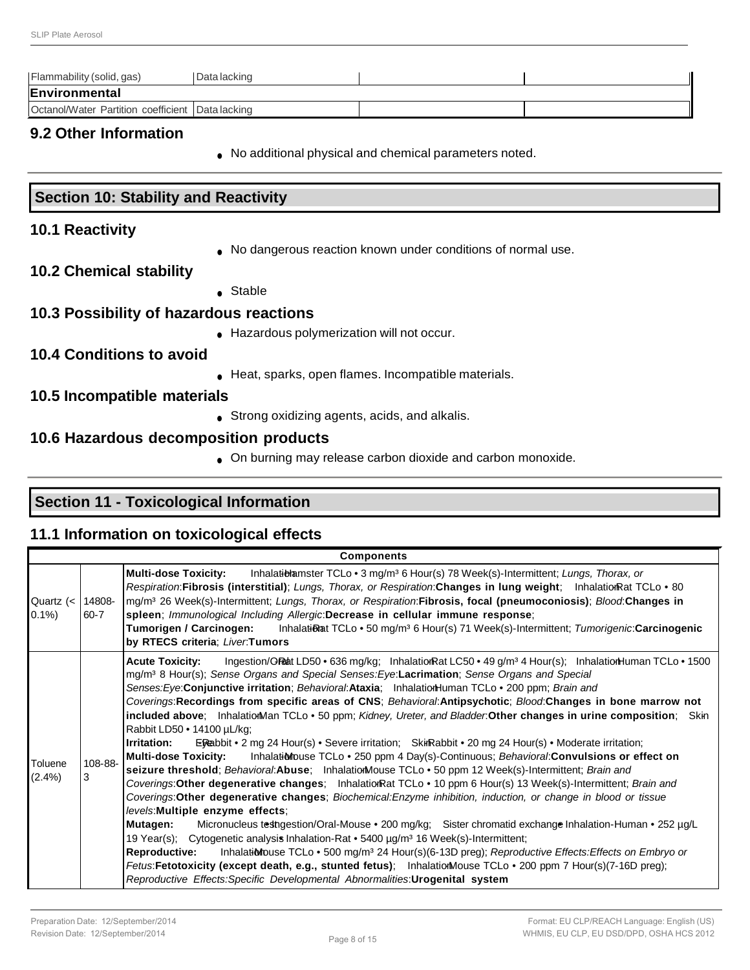| Flammability (solid, gas)                          | Data lacking |  |
|----------------------------------------------------|--------------|--|
| Environmental                                      |              |  |
| Octanol/Water Partition coefficient   Data lacking |              |  |

### **9.2 Other Information**

**Section 10: Stability and Reactivity**

● No additional physical and chemical parameters noted.

| <b>10.1 Reactivity</b>                  |                                                              |
|-----------------------------------------|--------------------------------------------------------------|
|                                         | No dangerous reaction known under conditions of normal use.  |
| <b>10.2 Chemical stability</b>          |                                                              |
|                                         | • Stable                                                     |
| 10.3 Possibility of hazardous reactions |                                                              |
|                                         | Hazardous polymerization will not occur.                     |
| 10.4 Conditions to avoid                |                                                              |
|                                         | Heat, sparks, open flames. Incompatible materials.           |
| 10.5 Incompatible materials             |                                                              |
|                                         | • Strong oxidizing agents, acids, and alkalis.               |
| 10.6 Hazardous decomposition products   |                                                              |
|                                         | • On burning may release carbon dioxide and carbon monoxide. |
|                                         |                                                              |

# **Section 11 - Toxicological Information**

# **11.1 Information on toxicological effects**

|                        |                | <b>Components</b>                                                                                                                                                                                                                                                                                                                                                                                                                                                                                                                                                                                                                                                                                                                                                                                                                                                                                                                                                                                                                                                                                                                                                                                                                                                                                                                                                                                                                                                                                                                                                                                                                                                                                                                                                                                                             |
|------------------------|----------------|-------------------------------------------------------------------------------------------------------------------------------------------------------------------------------------------------------------------------------------------------------------------------------------------------------------------------------------------------------------------------------------------------------------------------------------------------------------------------------------------------------------------------------------------------------------------------------------------------------------------------------------------------------------------------------------------------------------------------------------------------------------------------------------------------------------------------------------------------------------------------------------------------------------------------------------------------------------------------------------------------------------------------------------------------------------------------------------------------------------------------------------------------------------------------------------------------------------------------------------------------------------------------------------------------------------------------------------------------------------------------------------------------------------------------------------------------------------------------------------------------------------------------------------------------------------------------------------------------------------------------------------------------------------------------------------------------------------------------------------------------------------------------------------------------------------------------------|
| Quartz $(<$<br>$0.1\%$ | 14808-<br>60-7 | Inhalatiblamster TCLo • 3 mg/m <sup>3</sup> 6 Hour(s) 78 Week(s)-Intermittent; Lungs, Thorax, or<br><b>Multi-dose Toxicity:</b><br>Respiration: Fibrosis (interstitial); Lungs, Thorax, or Respiration: Changes in lung weight; InhalationRat TCLo . 80<br>mg/m <sup>3</sup> 26 Week(s)-Intermittent; Lungs, Thorax, or Respiration:Fibrosis, focal (pneumoconiosis); Blood:Changes in<br>spleen; Immunological Including Allergic:Decrease in cellular immune response;<br>Tumorigen / Carcinogen:<br>Inhalati&at TCLo • 50 mg/m <sup>3</sup> 6 Hour(s) 71 Week(s)-Intermittent; Tumorigenic: Carcinogenic<br>by RTECS criteria; Liver.Tumors                                                                                                                                                                                                                                                                                                                                                                                                                                                                                                                                                                                                                                                                                                                                                                                                                                                                                                                                                                                                                                                                                                                                                                                |
| Toluene<br>$(2.4\%)$   | 108-88-<br>3   | Acute Toxicity: Ingestion/ORaht LD50 • 636 mg/kg; InhalationRat LC50 • 49 g/m <sup>3</sup> 4 Hour(s); InhalationHuman TCLo • 1500<br>mg/m <sup>3</sup> 8 Hour(s); Sense Organs and Special Senses: Eye: Lacrimation; Sense Organs and Special<br>Senses: Eye: Conjunctive irritation; Behavioral: Ataxia; InhalationHuman TCLo • 200 ppm; Brain and<br>Coverings: Recordings from specific areas of CNS; Behavioral: Antipsychotic; Blood: Changes in bone marrow not<br>included above; InhalationMan TCLo . 50 ppm; Kidney, Ureter, and Bladder. Other changes in urine composition; Skin<br>Rabbit LD50 • 14100 µL/kg;<br>Irritation:<br>ERabbit • 2 mg 24 Hour(s) • Severe irritation; SkirRabbit • 20 mg 24 Hour(s) • Moderate irritation;<br><b>Multi-dose Toxicity:</b><br>Inhalationbuse TCLo • 250 ppm 4 Day(s)-Continuous; Behavioral: Convulsions or effect on<br>seizure threshold; Behavioral:Abuse; InhalationMouse TCLo . 50 ppm 12 Week(s)-Intermittent; Brain and<br>Coverings: Other degenerative changes; InhalationRat TCLo • 10 ppm 6 Hour(s) 13 Week(s)-Intermittent; Brain and<br>Coverings: Other degenerative changes; Biochemical: Enzyme inhibition, induction, or change in blood or tissue<br>levels: Multiple enzyme effects;<br>Mutagen:<br>Micronucleus testngestion/Oral-Mouse • 200 mg/kg; Sister chromatid exchange Inhalation-Human • 252 µg/L<br>19 Year(s); Cytogenetic analysis Inhalation-Rat • 5400 µg/m <sup>3</sup> 16 Week(s)-Intermittent;<br>Inhalationhouse TCLo . 500 mg/m <sup>3</sup> 24 Hour(s)(6-13D preg); Reproductive Effects: Effects on Embryo or<br>Reproductive:<br>Fetus:Fetotoxicity (except death, e.g., stunted fetus); InhalationMouse TCLo . 200 ppm 7 Hour(s)(7-16D preg);<br>Reproductive Effects: Specific Developmental Abnormalities: Urogenital system |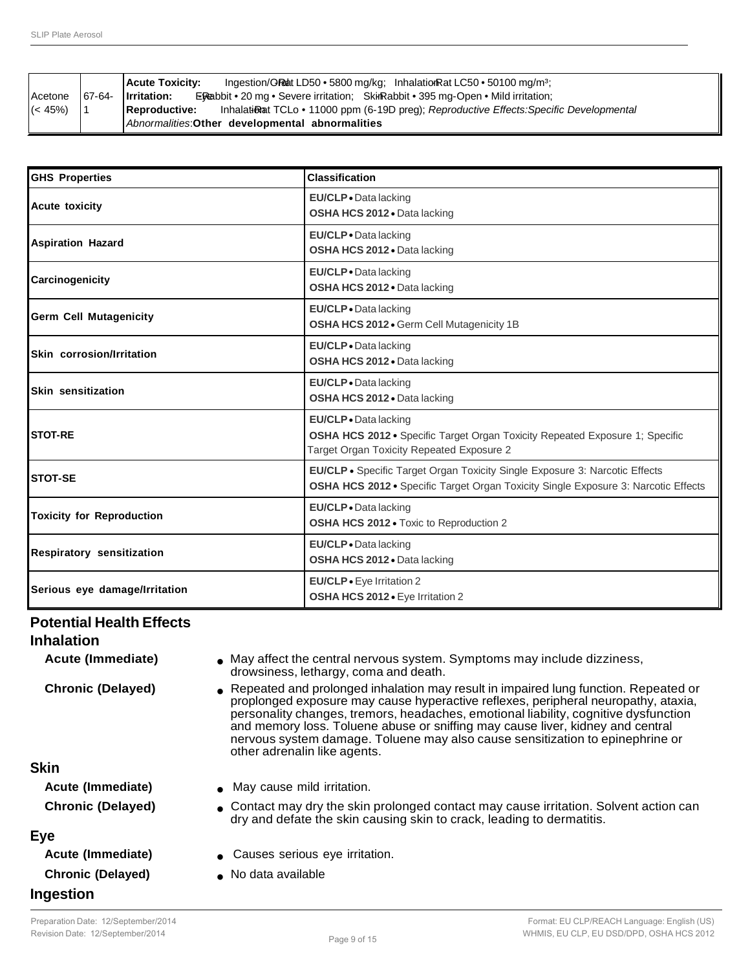|            |        | Ingestion/GReat LD50 $\bullet$ 5800 mg/kg: Inhalation Rat LC50 $\bullet$ 50100 mg/m <sup>3</sup> :<br><b>Acute Toxicity:</b> |
|------------|--------|------------------------------------------------------------------------------------------------------------------------------|
| Acetone    | 67-64- | Irritation:<br><b>ERabbit • 20 mg • Severe irritation:</b> SkirRabbit • 395 mg-Open • Mild irritation:                       |
| $(< 45\%)$ |        | Inhalational TCLo • 11000 ppm (6-19D preg); Reproductive Effects: Specific Developmental<br><b>Reproductive:</b>             |
|            |        | Abnormalities: Other developmental abnormalities                                                                             |

| <b>GHS Properties</b>            | <b>Classification</b>                                                                                                                                                    |  |  |
|----------------------------------|--------------------------------------------------------------------------------------------------------------------------------------------------------------------------|--|--|
| <b>Acute toxicity</b>            | EU/CLP . Data lacking<br>OSHA HCS 2012 . Data lacking                                                                                                                    |  |  |
| <b>Aspiration Hazard</b>         | EU/CLP . Data lacking<br>OSHA HCS 2012 . Data lacking                                                                                                                    |  |  |
| Carcinogenicity                  | EU/CLP . Data lacking<br>OSHA HCS 2012 . Data lacking                                                                                                                    |  |  |
| <b>Germ Cell Mutagenicity</b>    | EU/CLP . Data lacking<br>OSHA HCS 2012 . Germ Cell Mutagenicity 1B                                                                                                       |  |  |
| Skin corrosion/Irritation        | EU/CLP . Data lacking<br>OSHA HCS 2012 . Data lacking                                                                                                                    |  |  |
| Skin sensitization               | EU/CLP . Data lacking<br>OSHA HCS 2012 . Data lacking                                                                                                                    |  |  |
| <b>STOT-RE</b>                   | EU/CLP . Data lacking<br>OSHA HCS 2012 · Specific Target Organ Toxicity Repeated Exposure 1; Specific<br>Target Organ Toxicity Repeated Exposure 2                       |  |  |
| <b>STOT-SE</b>                   | EU/CLP · Specific Target Organ Toxicity Single Exposure 3: Narcotic Effects<br><b>OSHA HCS 2012 •</b> Specific Target Organ Toxicity Single Exposure 3: Narcotic Effects |  |  |
| <b>Toxicity for Reproduction</b> | EU/CLP . Data lacking<br>OSHA HCS 2012 . Toxic to Reproduction 2                                                                                                         |  |  |
| <b>Respiratory sensitization</b> | EU/CLP . Data lacking<br>OSHA HCS 2012 . Data lacking                                                                                                                    |  |  |
| Serious eye damage/Irritation    | <b>EU/CLP</b> • Eye Irritation 2<br>OSHA HCS 2012 . Eye Irritation 2                                                                                                     |  |  |

# **Potential Health Effects**

**Inhalation**

**Acute (Immediate) ••** May affect the central nervous system. Symptoms may include dizziness, drowsiness, lethargy, coma and death.

**Chronic (Delayed)** ● Repeated and prolonged inhalation may result in impaired lung function. Repeated or proplonged exposure may cause hyperactive reflexes, peripheral neuropathy, ataxia, personality changes, tremors, headaches, emotional liability, cognitive dysfunction and memory loss. Toluene abuse or sniffing may cause liver, kidney and central nervous system damage. Toluene may also cause sensitization to epinephrine or other adrenalin like agents.

### **Skin**

- **Acute (Immediate)** May cause mild irritation.
- **Chronic (Delayed)** Contact may dry the skin prolonged contact may cause irritation. Solvent action can dry and defate the skin causing skin to crack, leading to dermatitis.

### **Eye**

| Acute (Immediate)        | • Causes serious eve irritation. |
|--------------------------|----------------------------------|
| <b>Chronic (Delayed)</b> | • No data available              |
| Ingestion                |                                  |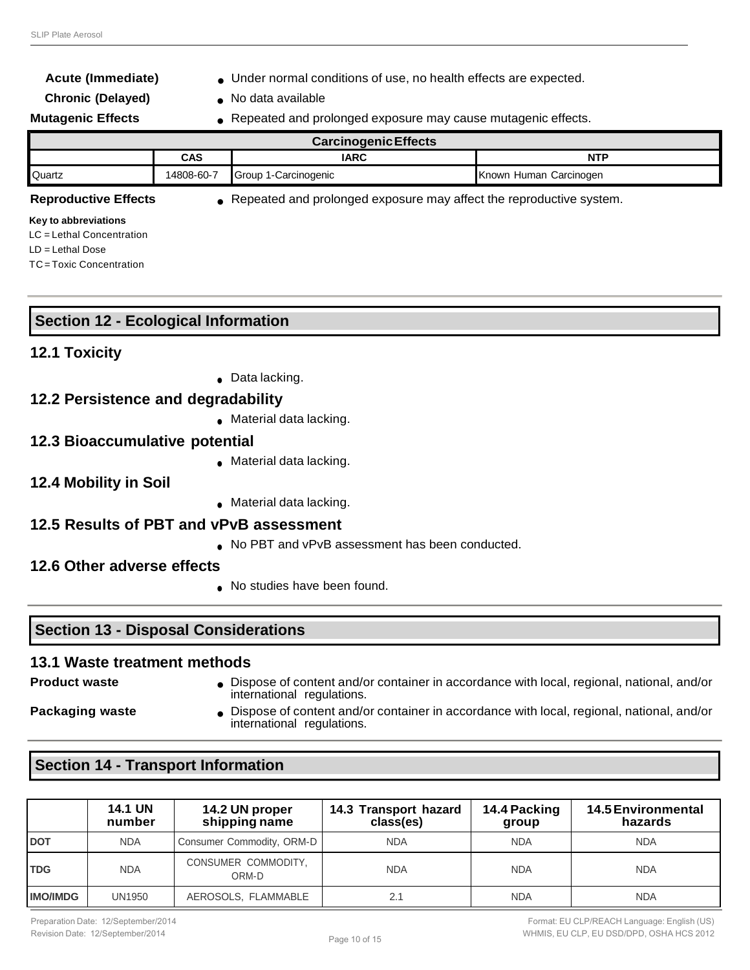**Acute (Immediate) •** Under normal conditions of use, no health effects are expected.

### **Chronic (Delayed)** ● No data available

**Mutagenic Effects** • Repeated and prolonged exposure may cause mutagenic effects.

| <b>Carcinogenic Effects</b>      |            |                      |                        |  |  |
|----------------------------------|------------|----------------------|------------------------|--|--|
| <b>NTP</b><br><b>IARC</b><br>CAS |            |                      |                        |  |  |
| <b>Quartz</b>                    | 14808-60-7 | Group 1-Carcinogenic | Known Human Carcinogen |  |  |

**Reproductive Effects** • Repeated and prolonged exposure may affect the reproductive system.

#### **Key to abbreviations**

LC = Lethal Concentration LD = Lethal Dose

TC= Toxic Concentration

| <b>Section 12 - Ecological Information</b> |  |
|--------------------------------------------|--|
| .                                          |  |

### **12.1 Toxicity**

• Data lacking.

### **12.2 Persistence and degradability**

● Material data lacking.

### **12.3 Bioaccumulative potential**

- Material data lacking.
- **12.4 Mobility in Soil**
- Material data lacking.

### **12.5 Results of PBT and vPvB assessment**

- No PBT and vPvB assessment has been conducted.
- **12.6 Other adverse effects**
	- No studies have been found.

### **Section 13 - Disposal Considerations**

### **13.1 Waste treatment methods**

**Product waste • Dispose of content and/or container in accordance with local, regional, national, and/or container in accordance with local, regional, national, and/or** international regulations.

- 
- **Packaging waste Dispose of content and/or container in accordance with local, regional, national, and/or container in accordance with local, regional, national, and/or** international regulations.

### **Section 14 - Transport Information**

|                 | <b>14.1 UN</b><br>number | 14.2 UN proper<br>shipping name | 14.3 Transport hazard<br>class(es) | 14.4 Packing<br>group | <b>14.5 Environmental</b><br>hazards |
|-----------------|--------------------------|---------------------------------|------------------------------------|-----------------------|--------------------------------------|
| <b>DOT</b>      | <b>NDA</b>               | Consumer Commodity, ORM-D       | <b>NDA</b>                         | <b>NDA</b>            | <b>NDA</b>                           |
| <b>TDG</b>      | <b>NDA</b>               | CONSUMER COMMODITY,<br>ORM-D    | <b>NDA</b>                         | <b>NDA</b>            | <b>NDA</b>                           |
| <b>IMO/IMDG</b> | UN1950                   | AEROSOLS, FLAMMABLE             |                                    | NDA                   | <b>NDA</b>                           |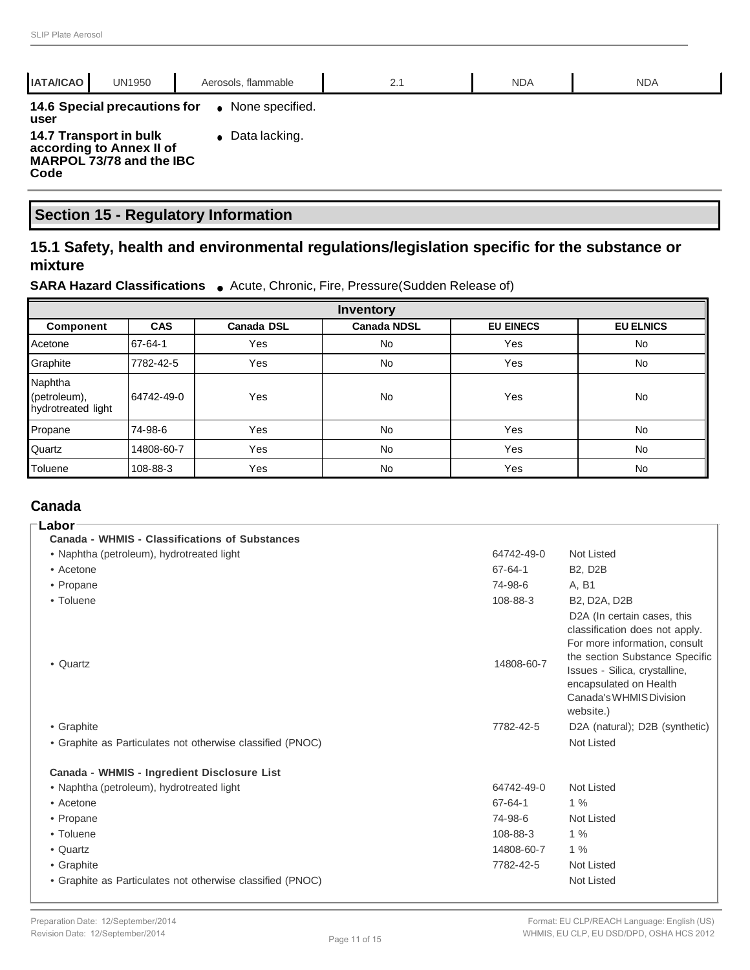| 14.6 Special precautions for<br>None specified.<br>$\bullet$<br>user<br>$\bullet$ Data lacking.<br>14.7 Transport in bulk<br>according to Annex II of<br>MARPOL 73/78 and the IBC<br>Code | <b>IATA/ICAO</b><br><b>UN1950</b> | Aerosols, flammable | 2.1 | <b>NDA</b> | <b>NDA</b> |
|-------------------------------------------------------------------------------------------------------------------------------------------------------------------------------------------|-----------------------------------|---------------------|-----|------------|------------|
|                                                                                                                                                                                           |                                   |                     |     |            |            |
|                                                                                                                                                                                           |                                   |                     |     |            |            |

# **Section 15 - Regulatory Information**

# **15.1 Safety, health and environmental regulations/legislation specific for the substance or mixture**

### **SARA Hazard Classifications** ● Acute, Chronic, Fire, Pressure(Sudden Release of)

| <b>Inventory</b>                              |            |                   |                    |                  |                  |
|-----------------------------------------------|------------|-------------------|--------------------|------------------|------------------|
| Component                                     | <b>CAS</b> | <b>Canada DSL</b> | <b>Canada NDSL</b> | <b>EU EINECS</b> | <b>EU ELNICS</b> |
| Acetone                                       | 67-64-1    | Yes               | No                 | Yes              | <b>No</b>        |
| Graphite                                      | 7782-42-5  | Yes               | No                 | Yes              | <b>No</b>        |
| Naphtha<br>(petroleum),<br>hydrotreated light | 64742-49-0 | Yes               | No                 | Yes              | No               |
| Propane                                       | 74-98-6    | Yes               | No                 | Yes              | No               |
| Quartz                                        | 14808-60-7 | Yes               | No                 | Yes              | No               |
| Toluene                                       | 108-88-3   | Yes               | No                 | Yes              | No               |

### **Canada**

| ⊺Labor                                                     |               |                                                                                                                                                                                                                                                  |
|------------------------------------------------------------|---------------|--------------------------------------------------------------------------------------------------------------------------------------------------------------------------------------------------------------------------------------------------|
| <b>Canada - WHMIS - Classifications of Substances</b>      |               |                                                                                                                                                                                                                                                  |
| • Naphtha (petroleum), hydrotreated light                  | 64742-49-0    | <b>Not Listed</b>                                                                                                                                                                                                                                |
| • Acetone                                                  | $67 - 64 - 1$ | <b>B2, D2B</b>                                                                                                                                                                                                                                   |
| • Propane                                                  | 74-98-6       | A, B1                                                                                                                                                                                                                                            |
| • Toluene                                                  | 108-88-3      | <b>B2, D2A, D2B</b>                                                                                                                                                                                                                              |
| • Quartz                                                   | 14808-60-7    | D <sub>2</sub> A (In certain cases, this<br>classification does not apply.<br>For more information, consult<br>the section Substance Specific<br>Issues - Silica, crystalline,<br>encapsulated on Health<br>Canada's WHMIS Division<br>website.) |
| • Graphite                                                 | 7782-42-5     | D2A (natural); D2B (synthetic)                                                                                                                                                                                                                   |
| • Graphite as Particulates not otherwise classified (PNOC) |               | <b>Not Listed</b>                                                                                                                                                                                                                                |
| Canada - WHMIS - Ingredient Disclosure List                |               |                                                                                                                                                                                                                                                  |
| • Naphtha (petroleum), hydrotreated light                  | 64742-49-0    | <b>Not Listed</b>                                                                                                                                                                                                                                |
| • Acetone                                                  | 67-64-1       | 1%                                                                                                                                                                                                                                               |
| • Propane                                                  | 74-98-6       | Not Listed                                                                                                                                                                                                                                       |
| • Toluene                                                  | 108-88-3      | $1\%$                                                                                                                                                                                                                                            |
| • Quartz                                                   | 14808-60-7    | $1\%$                                                                                                                                                                                                                                            |
| • Graphite                                                 | 7782-42-5     | <b>Not Listed</b>                                                                                                                                                                                                                                |
| • Graphite as Particulates not otherwise classified (PNOC) |               | <b>Not Listed</b>                                                                                                                                                                                                                                |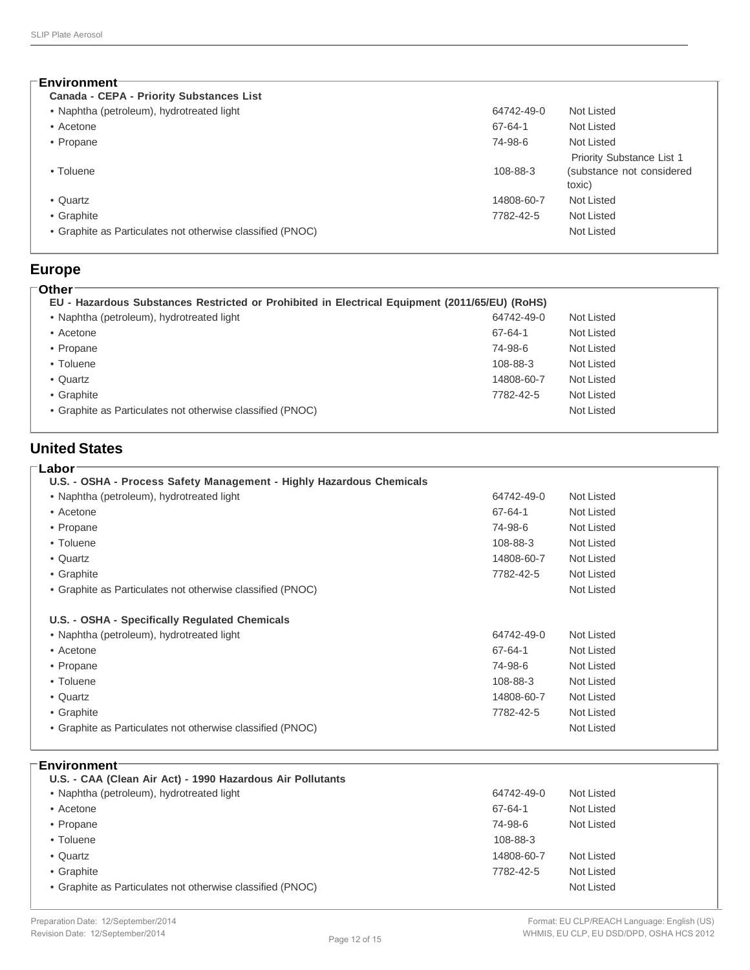| Environment <sup>-</sup>                                   |            |                                     |
|------------------------------------------------------------|------------|-------------------------------------|
| Canada - CEPA - Priority Substances List                   |            |                                     |
| • Naphtha (petroleum), hydrotreated light                  | 64742-49-0 | Not Listed                          |
| • Acetone                                                  | 67-64-1    | Not Listed                          |
| • Propane                                                  | 74-98-6    | Not Listed                          |
|                                                            |            | Priority Substance List 1           |
| • Toluene                                                  | 108-88-3   | (substance not considered<br>toxic) |
| • Quartz                                                   | 14808-60-7 | Not Listed                          |
| • Graphite                                                 | 7782-42-5  | Not Listed                          |
| • Graphite as Particulates not otherwise classified (PNOC) |            | Not Listed                          |

#### **Europe Other**

| • Naphtha (petroleum), hydrotreated light                  | 64742-49-0 | Not Listed |
|------------------------------------------------------------|------------|------------|
| • Acetone                                                  | 67-64-1    | Not Listed |
| • Propane                                                  | 74-98-6    | Not Listed |
| • Toluene                                                  | 108-88-3   | Not Listed |
| • Quartz                                                   | 14808-60-7 | Not Listed |
| • Graphite                                                 | 7782-42-5  | Not Listed |
| • Graphite as Particulates not otherwise classified (PNOC) |            | Not Listed |

### **United States**

### **Labor U.S. - OSHA - Process Safety Management - Highly Hazardous Chemicals** • Naphtha (petroleum), hydrotreated light 64742-49-0 Not Listed • Acetone 67-64-1 Not Listed • Propane 74-98-6 Not Listed • Toluene 108-88-3 Not Listed • Quartz 14808-60-7 Not Listed • Graphite 7782-42-5 Not Listed • Graphite as Particulates not otherwise classified (PNOC) Not Listed **U.S. - OSHA - Specifically Regulated Chemicals** • Naphtha (petroleum), hydrotreated light 64742-49-0 Not Listed • Acetone 67-64-1 Not Listed • Propane 74-98-6 Not Listed • Toluene 108-88-3 Not Listed • Quartz 14808-60-7 Not Listed • Graphite 7782-42-5 Not Listed • Graphite as Particulates not otherwise classified (PNOC) Not Listed

### **Environment**

| U.S. - CAA (Clean Air Act) - 1990 Hazardous Air Pollutants |            |            |
|------------------------------------------------------------|------------|------------|
| • Naphtha (petroleum), hydrotreated light                  | 64742-49-0 | Not Listed |
| • Acetone                                                  | 67-64-1    | Not Listed |
| • Propane                                                  | 74-98-6    | Not Listed |
| • Toluene                                                  | 108-88-3   |            |
| • Quartz                                                   | 14808-60-7 | Not Listed |
| • Graphite                                                 | 7782-42-5  | Not Listed |
| • Graphite as Particulates not otherwise classified (PNOC) |            | Not Listed |
|                                                            |            |            |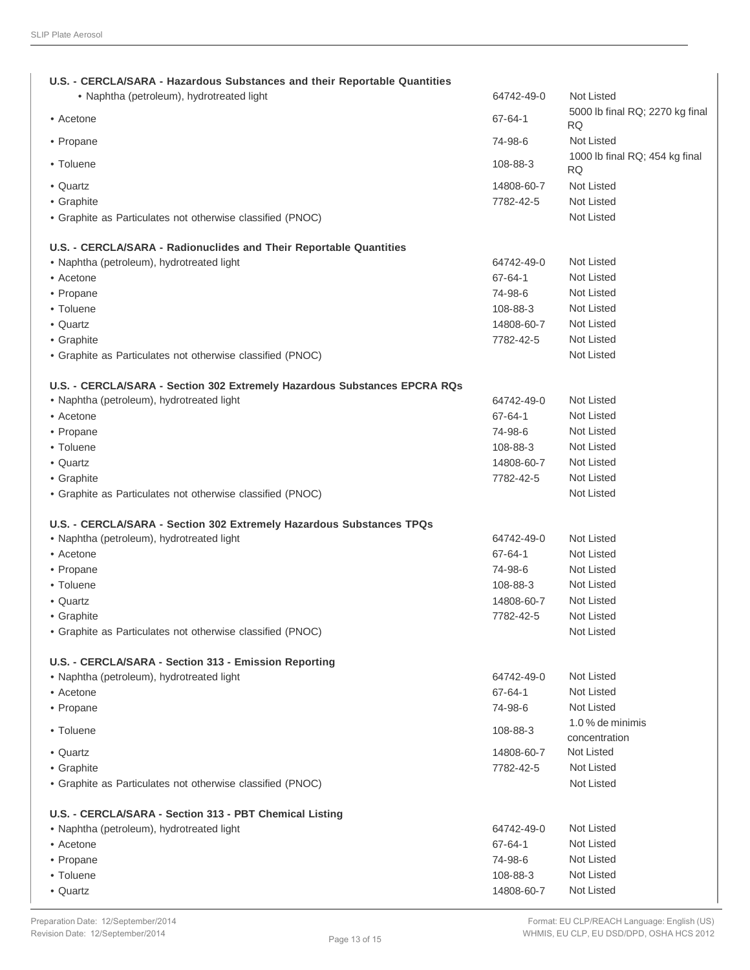| U.S. - CERCLA/SARA - Hazardous Substances and their Reportable Quantities<br>· Naphtha (petroleum), hydrotreated light | 64742-49-0    | Not Listed                                   |
|------------------------------------------------------------------------------------------------------------------------|---------------|----------------------------------------------|
| • Acetone                                                                                                              | 67-64-1       | 5000 lb final RQ; 2270 kg final<br><b>RQ</b> |
| • Propane                                                                                                              | 74-98-6       | <b>Not Listed</b>                            |
| • Toluene                                                                                                              | 108-88-3      | 1000 lb final RQ; 454 kg final<br>RQ.        |
| • Quartz                                                                                                               | 14808-60-7    | Not Listed                                   |
| • Graphite                                                                                                             | 7782-42-5     | <b>Not Listed</b>                            |
| • Graphite as Particulates not otherwise classified (PNOC)                                                             |               | Not Listed                                   |
| U.S. - CERCLA/SARA - Radionuclides and Their Reportable Quantities                                                     |               |                                              |
| • Naphtha (petroleum), hydrotreated light                                                                              | 64742-49-0    | <b>Not Listed</b>                            |
| • Acetone                                                                                                              | 67-64-1       | Not Listed                                   |
| • Propane                                                                                                              | 74-98-6       | Not Listed                                   |
| • Toluene                                                                                                              | 108-88-3      | Not Listed                                   |
| • Quartz                                                                                                               | 14808-60-7    | <b>Not Listed</b>                            |
| • Graphite                                                                                                             | 7782-42-5     | <b>Not Listed</b>                            |
| • Graphite as Particulates not otherwise classified (PNOC)                                                             |               | Not Listed                                   |
| U.S. - CERCLA/SARA - Section 302 Extremely Hazardous Substances EPCRA RQs                                              |               |                                              |
| • Naphtha (petroleum), hydrotreated light                                                                              | 64742-49-0    | Not Listed                                   |
| • Acetone                                                                                                              | 67-64-1       | Not Listed                                   |
| • Propane                                                                                                              | 74-98-6       | Not Listed                                   |
| • Toluene                                                                                                              | 108-88-3      | Not Listed                                   |
| • Quartz                                                                                                               | 14808-60-7    | Not Listed                                   |
| • Graphite                                                                                                             | 7782-42-5     | Not Listed                                   |
| • Graphite as Particulates not otherwise classified (PNOC)                                                             |               | Not Listed                                   |
| U.S. - CERCLA/SARA - Section 302 Extremely Hazardous Substances TPQs                                                   |               |                                              |
| • Naphtha (petroleum), hydrotreated light                                                                              | 64742-49-0    | Not Listed                                   |
| • Acetone                                                                                                              | $67 - 64 - 1$ | <b>Not Listed</b>                            |
| • Propane                                                                                                              | 74-98-6       | <b>Not Listed</b>                            |
| • Toluene                                                                                                              | 108-88-3      | Not Listed                                   |
| • Quartz                                                                                                               | 14808-60-7    | Not Listed                                   |
| • Graphite                                                                                                             | 7782-42-5     | <b>Not Listed</b>                            |
| • Graphite as Particulates not otherwise classified (PNOC)                                                             |               | Not Listed                                   |
| U.S. - CERCLA/SARA - Section 313 - Emission Reporting                                                                  |               |                                              |
| • Naphtha (petroleum), hydrotreated light                                                                              | 64742-49-0    | <b>Not Listed</b>                            |
| • Acetone                                                                                                              | $67 - 64 - 1$ | <b>Not Listed</b>                            |
| • Propane                                                                                                              | 74-98-6       | <b>Not Listed</b>                            |
|                                                                                                                        |               | 1.0 % de minimis                             |
| • Toluene                                                                                                              | 108-88-3      | concentration                                |
| • Quartz                                                                                                               | 14808-60-7    | Not Listed                                   |
| • Graphite                                                                                                             | 7782-42-5     | <b>Not Listed</b>                            |
| • Graphite as Particulates not otherwise classified (PNOC)                                                             |               | Not Listed                                   |
| U.S. - CERCLA/SARA - Section 313 - PBT Chemical Listing                                                                |               |                                              |
| • Naphtha (petroleum), hydrotreated light                                                                              | 64742-49-0    | Not Listed                                   |
| • Acetone                                                                                                              | 67-64-1       | Not Listed                                   |
| • Propane                                                                                                              | 74-98-6       | Not Listed                                   |
| • Toluene                                                                                                              | 108-88-3      | Not Listed                                   |
| • Quartz                                                                                                               | 14808-60-7    | Not Listed                                   |
|                                                                                                                        |               |                                              |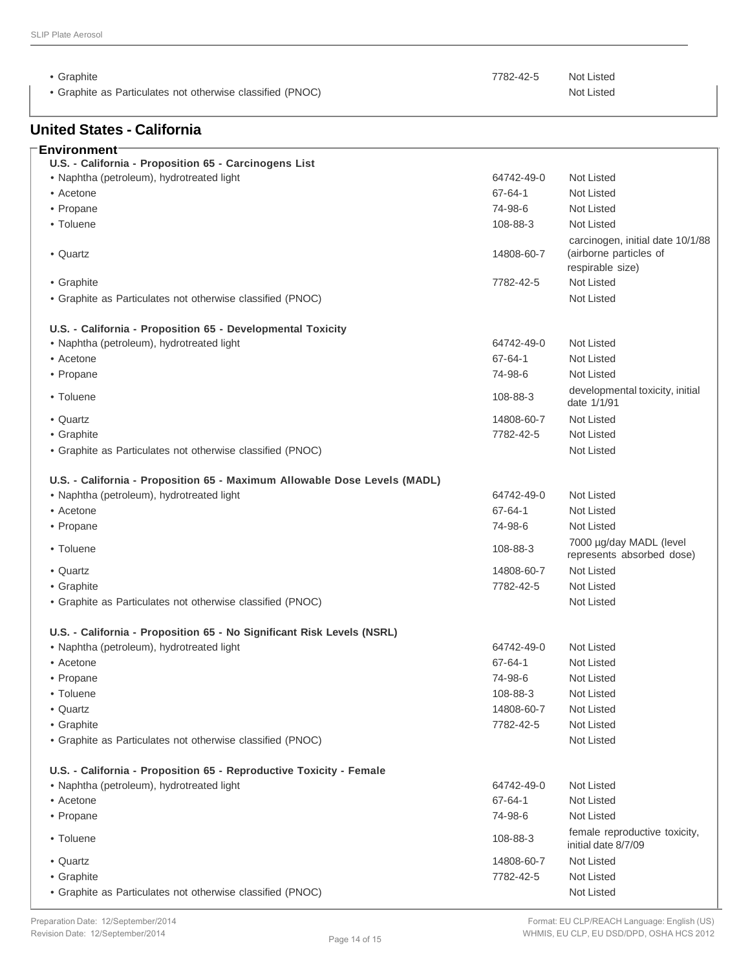**Environment**

• Graphite as Particulates not otherwise classified (PNOC) **Not Listed** Not Listed

### **United States - California**

• Graphite 7782-42-5 Not Listed

| U.S. - California - Proposition 65 - Carcinogens List                     |               |                                                                                |
|---------------------------------------------------------------------------|---------------|--------------------------------------------------------------------------------|
| • Naphtha (petroleum), hydrotreated light                                 | 64742-49-0    | Not Listed                                                                     |
| • Acetone                                                                 | 67-64-1       | Not Listed                                                                     |
| • Propane                                                                 | 74-98-6       | Not Listed                                                                     |
| • Toluene                                                                 | 108-88-3      | Not Listed                                                                     |
| • Quartz                                                                  | 14808-60-7    | carcinogen, initial date 10/1/88<br>(airborne particles of<br>respirable size) |
| • Graphite                                                                | 7782-42-5     | Not Listed                                                                     |
| • Graphite as Particulates not otherwise classified (PNOC)                |               | Not Listed                                                                     |
|                                                                           |               |                                                                                |
| U.S. - California - Proposition 65 - Developmental Toxicity               |               |                                                                                |
| • Naphtha (petroleum), hydrotreated light                                 | 64742-49-0    | Not Listed                                                                     |
| • Acetone                                                                 | $67 - 64 - 1$ | Not Listed                                                                     |
| • Propane                                                                 | 74-98-6       | Not Listed                                                                     |
| • Toluene                                                                 | 108-88-3      | developmental toxicity, initial<br>date 1/1/91                                 |
| • Quartz                                                                  | 14808-60-7    | Not Listed                                                                     |
| • Graphite                                                                | 7782-42-5     | Not Listed                                                                     |
| • Graphite as Particulates not otherwise classified (PNOC)                |               | <b>Not Listed</b>                                                              |
|                                                                           |               |                                                                                |
| U.S. - California - Proposition 65 - Maximum Allowable Dose Levels (MADL) |               |                                                                                |
| • Naphtha (petroleum), hydrotreated light                                 | 64742-49-0    | Not Listed                                                                     |
| • Acetone                                                                 | $67 - 64 - 1$ | Not Listed                                                                     |
| • Propane                                                                 | 74-98-6       | Not Listed                                                                     |
| • Toluene                                                                 | 108-88-3      | 7000 µg/day MADL (level<br>represents absorbed dose)                           |
| • Quartz                                                                  | 14808-60-7    | Not Listed                                                                     |
| • Graphite                                                                | 7782-42-5     | Not Listed                                                                     |
| • Graphite as Particulates not otherwise classified (PNOC)                |               | Not Listed                                                                     |
|                                                                           |               |                                                                                |
| U.S. - California - Proposition 65 - No Significant Risk Levels (NSRL)    |               |                                                                                |
| • Naphtha (petroleum), hydrotreated light                                 | 64742-49-0    | Not Listed                                                                     |
| • Acetone                                                                 | 67-64-1       | Not Listed                                                                     |
| • Propane                                                                 | 74-98-6       | Not Listed                                                                     |
| • Toluene                                                                 | 108-88-3      | Not Listed                                                                     |
| • Quartz                                                                  | 14808-60-7    | Not Listed                                                                     |
| • Graphite                                                                | 7782-42-5     | Not Listed                                                                     |
| • Graphite as Particulates not otherwise classified (PNOC)                |               | Not Listed                                                                     |
|                                                                           |               |                                                                                |
| U.S. - California - Proposition 65 - Reproductive Toxicity - Female       |               |                                                                                |
| • Naphtha (petroleum), hydrotreated light                                 | 64742-49-0    | Not Listed                                                                     |
| • Acetone                                                                 | $67 - 64 - 1$ | Not Listed                                                                     |
| • Propane                                                                 | 74-98-6       | Not Listed                                                                     |
| • Toluene                                                                 | 108-88-3      | female reproductive toxicity,<br>initial date 8/7/09                           |
| • Quartz                                                                  | 14808-60-7    | Not Listed                                                                     |
| • Graphite                                                                | 7782-42-5     | Not Listed                                                                     |
| • Graphite as Particulates not otherwise classified (PNOC)                |               | Not Listed                                                                     |